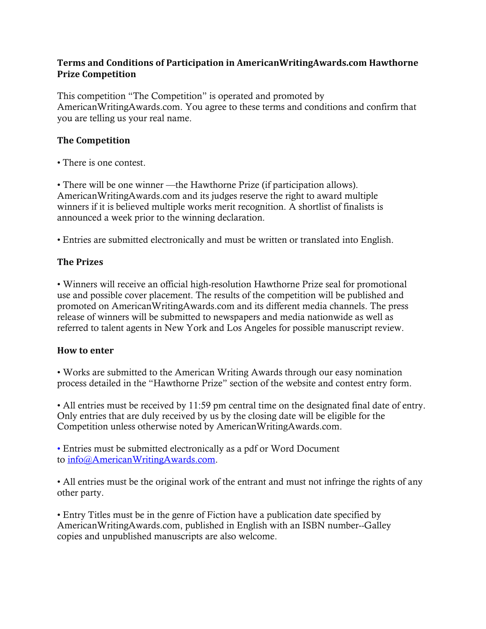#### **Terms and Conditions of Participation in AmericanWritingAwards.com Hawthorne Prize Competition**

This competition "The Competition" is operated and promoted by AmericanWritingAwards.com. You agree to these terms and conditions and confirm that you are telling us your real name.

## **The Competition**

• There is one contest.

• There will be one winner —the Hawthorne Prize (if participation allows). AmericanWritingAwards.com and its judges reserve the right to award multiple winners if it is believed multiple works merit recognition. A shortlist of finalists is announced a week prior to the winning declaration.

• Entries are submitted electronically and must be written or translated into English.

### **The Prizes**

• Winners will receive an official high-resolution Hawthorne Prize seal for promotional use and possible cover placement. The results of the competition will be published and promoted on AmericanWritingAwards.com and its different media channels. The press release of winners will be submitted to newspapers and media nationwide as well as referred to talent agents in New York and Los Angeles for possible manuscript review.

#### **How to enter**

• Works are submitted to the American Writing Awards through our easy nomination process detailed in the "Hawthorne Prize" section of the website and contest entry form.

• All entries must be received by 11:59 pm central time on the designated final date of entry. Only entries that are duly received by us by the closing date will be eligible for the Competition unless otherwise noted by AmericanWritingAwards.com.

• Entries must be submitted electronically as a pdf or Word Document to [info@AmericanWritingAwards.com.](mailto:info@AmericanWritingAwards.com)

• All entries must be the original work of the entrant and must not infringe the rights of any other party.

• Entry Titles must be in the genre of Fiction have a publication date specified by AmericanWritingAwards.com, published in English with an ISBN number--Galley copies and unpublished manuscripts are also welcome.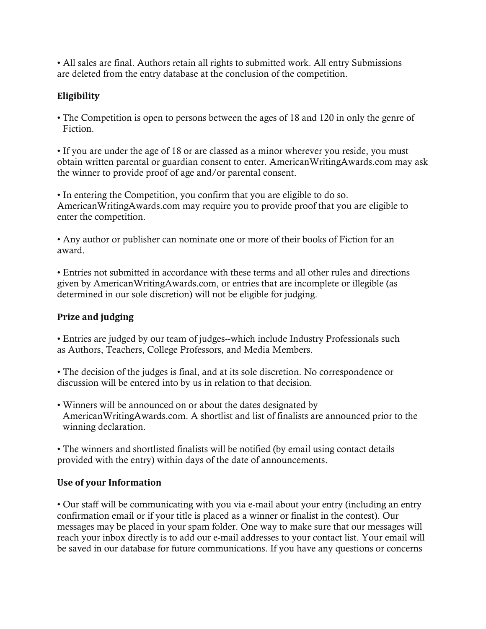• All sales are final. Authors retain all rights to submitted work. All entry Submissions are deleted from the entry database at the conclusion of the competition.

# **Eligibility**

• The Competition is open to persons between the ages of 18 and 120 in only the genre of Fiction.

• If you are under the age of 18 or are classed as a minor wherever you reside, you must obtain written parental or guardian consent to enter. AmericanWritingAwards.com may ask the winner to provide proof of age and/or parental consent.

• In entering the Competition, you confirm that you are eligible to do so. AmericanWritingAwards.com may require you to provide proof that you are eligible to enter the competition.

• Any author or publisher can nominate one or more of their books of Fiction for an award.

• Entries not submitted in accordance with these terms and all other rules and directions given by AmericanWritingAwards.com, or entries that are incomplete or illegible (as determined in our sole discretion) will not be eligible for judging.

## **Prize and judging**

• Entries are judged by our team of judges--which include Industry Professionals such as Authors, Teachers, College Professors, and Media Members.

• The decision of the judges is final, and at its sole discretion. No correspondence or discussion will be entered into by us in relation to that decision.

• Winners will be announced on or about the dates designated by AmericanWritingAwards.com. A shortlist and list of finalists are announced prior to the winning declaration.

• The winners and shortlisted finalists will be notified (by email using contact details provided with the entry) within days of the date of announcements.

## **Use of your Information**

• Our staff will be communicating with you via e-mail about your entry (including an entry confirmation email or if your title is placed as a winner or finalist in the contest). Our messages may be placed in your spam folder. One way to make sure that our messages will reach your inbox directly is to add our e-mail addresses to your contact list. Your email will be saved in our database for future communications. If you have any questions or concerns